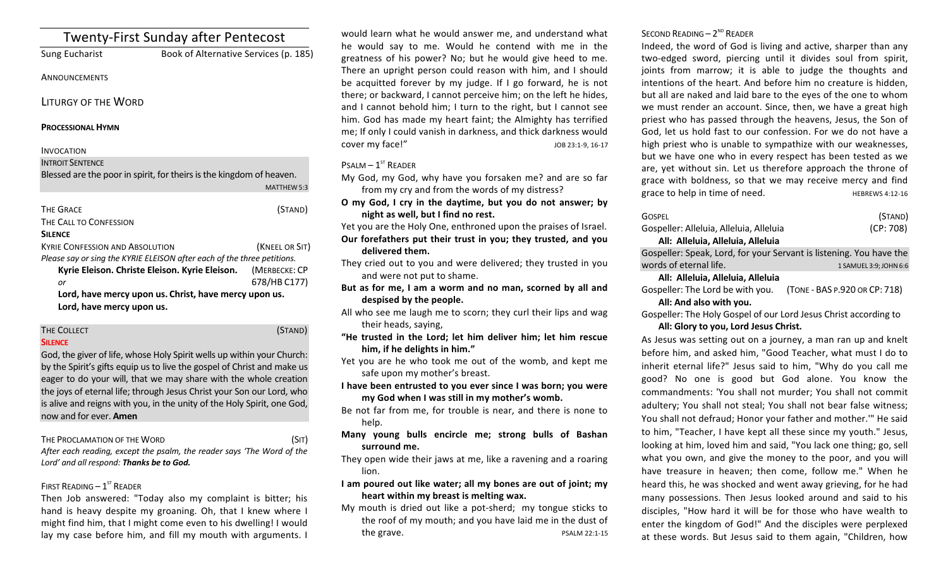| <b>Twenty-First Sunday after Pentecost</b>                              |                                                                      |  |
|-------------------------------------------------------------------------|----------------------------------------------------------------------|--|
| Sung Eucharist                                                          | Book of Alternative Services (p. 185)                                |  |
| ANNOUNCEMENTS                                                           |                                                                      |  |
| LITURGY OF THE WORD                                                     |                                                                      |  |
| <b>PROCESSIONAL HYMN</b>                                                |                                                                      |  |
| <b>INVOCATION</b>                                                       |                                                                      |  |
| <b>INTROIT SENTENCE</b>                                                 |                                                                      |  |
|                                                                         | Blessed are the poor in spirit, for theirs is the kingdom of heaven. |  |
|                                                                         | MATTHEW 5:3                                                          |  |
| <b>THE GRACE</b>                                                        | (STAND)                                                              |  |
| THE CALL TO CONFESSION                                                  |                                                                      |  |
| <b>SILENCE</b>                                                          |                                                                      |  |
| <b>KYRIE CONFESSION AND ABSOLUTION</b>                                  | (KNEEL OR SIT)                                                       |  |
| Please say or sing the KYRIE ELEISON after each of the three petitions. |                                                                      |  |
| Kyrie Eleison. Christe Eleison. Kyrie Eleison.                          | (MERBECKE: CP                                                        |  |
| or                                                                      | 678/HB C177)                                                         |  |
| Lord, have mercy upon us. Christ, have mercy upon us.                   |                                                                      |  |
| Lord, have mercy upon us.                                               |                                                                      |  |
|                                                                         |                                                                      |  |

#### THE COLLECT **THE COLLECT COLLECT COLLECT COLLECT COLLECT COLLECT COLLECT COLLECT COLLECT SILENCE**

God, the giver of life, whose Holy Spirit wells up within your Church: by the Spirit's gifts equip us to live the gospel of Christ and make us eager to do your will, that we may share with the whole creation the joys of eternal life; through Jesus Christ your Son our Lord, who is alive and reigns with you, in the unity of the Holy Spirit, one God, now and for ever. **Amen**

THE PROCLAMATION OF THE WORD (SIT)

After each reading, except the psalm, the reader says 'The Word of the Lord' and all respond: **Thanks be to God.** 

# FIRST READING  $-1^\text{ST}$  READER

Then Job answered: "Today also my complaint is bitter; his hand is heavy despite my groaning. Oh, that I knew where I might find him, that I might come even to his dwelling! I would lay my case before him, and fill my mouth with arguments. I

would learn what he would answer me, and understand what he would say to me. Would he contend with me in the greatness of his power? No; but he would give heed to me. There an upright person could reason with him, and I should be acquitted forever by my judge. If I go forward, he is not there; or backward, I cannot perceive him; on the left he hides, and I cannot behold him; I turn to the right, but I cannot see him. God has made my heart faint; the Almighty has terrified me; If only I could vanish in darkness, and thick darkness would cover my face!" Sales and the set of the set of the set of the set of the set of the set of the set of the set of the set of the set of the set of the set of the set of the set of the set of the set of the set of the set o

# $P$ SALM –  $1<sup>ST</sup>$  READER

My God, my God, why have you forsaken me? and are so far from my cry and from the words of my distress?

**O my God, I cry in the daytime, but you do not answer; by night as well, but I find no rest.** 

Yet you are the Holy One, enthroned upon the praises of Israel. Our forefathers put their trust in you; they trusted, and you **delivered them.**

- They cried out to you and were delivered; they trusted in you and were not put to shame.
- But as for me, I am a worm and no man, scorned by all and despised by the people.
- All who see me laugh me to scorn; they curl their lips and wag their heads, saying,
- "He trusted in the Lord; let him deliver him; let him rescue him, if he delights in him."
- Yet you are he who took me out of the womb, and kept me safe upon my mother's breast.
- I have been entrusted to you ever since I was born; you were my God when I was still in my mother's womb.
- Be not far from me, for trouble is near, and there is none to help.
- **Many young bulls encircle me; strong bulls of Bashan**  surround me.
- They open wide their jaws at me, like a ravening and a roaring lion.
- I am poured out like water; all my bones are out of joint; my heart within my breast is melting wax.
- My mouth is dried out like a pot-sherd; my tongue sticks to the roof of my mouth; and you have laid me in the dust of the grave. The state of the state of the state of the state of the state of the state of the state of the state of the state of the state of the state of the state of the state of the state of the state of the state of the

# SECOND READING  $- 2<sup>ND</sup>$  READER

Indeed, the word of God is living and active, sharper than any two-edged sword, piercing until it divides soul from spirit, joints from marrow; it is able to judge the thoughts and intentions of the heart. And before him no creature is hidden, but all are naked and laid bare to the eyes of the one to whom we must render an account. Since, then, we have a great high priest who has passed through the heavens, Jesus, the Son of God, let us hold fast to our confession. For we do not have a high priest who is unable to sympathize with our weaknesses, but we have one who in every respect has been tested as we are, yet without sin. Let us therefore approach the throne of grace with boldness, so that we may receive mercy and find grace to help in time of need. HEBREWS 4:12-16

| GOSPEL                                                              | (STAND)                |
|---------------------------------------------------------------------|------------------------|
| Gospeller: Alleluia, Alleluia, Alleluia                             | (CP: 708)              |
| All: Alleluia, Alleluia, Alleluia                                   |                        |
| Gospeller: Speak, Lord, for your Servant is listening. You have the |                        |
| words of eternal life.                                              | 1 SAMUEL 3:9; JOHN 6:6 |
| All: Alleluia, Alleluia, Alleluia                                   |                        |

Gospeller: The Lord be with you. (TONE - BAS P.920 OR CP: 718) All: And also with you.

Gospeller: The Holy Gospel of our Lord Jesus Christ according to All: Glory to you, Lord Jesus Christ.

As Jesus was setting out on a journey, a man ran up and knelt before him, and asked him, "Good Teacher, what must I do to inherit eternal life?" Jesus said to him, "Why do you call me good? No one is good but God alone. You know the commandments: 'You shall not murder; You shall not commit adultery; You shall not steal; You shall not bear false witness; You shall not defraud; Honor your father and mother."" He said to him, "Teacher, I have kept all these since my youth." Jesus, looking at him, loved him and said, "You lack one thing; go, sell what you own, and give the money to the poor, and you will have treasure in heaven; then come, follow me." When he heard this, he was shocked and went away grieving, for he had many possessions. Then Jesus looked around and said to his disciples. "How hard it will be for those who have wealth to enter the kingdom of God!" And the disciples were perplexed at these words. But Jesus said to them again, "Children, how